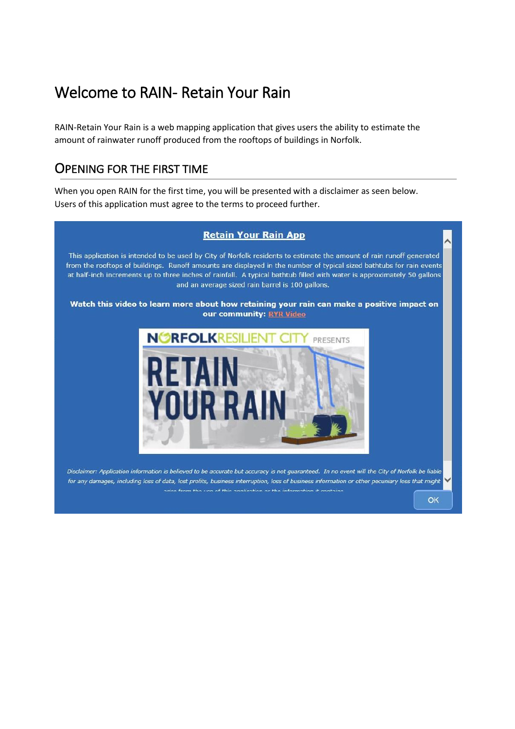# Welcome to RAIN- Retain Your Rain

RAIN-Retain Your Rain is a web mapping application that gives users the ability to estimate the amount of rainwater runoff produced from the rooftops of buildings in Norfolk.

### OPENING FOR THE FIRST TIME

When you open RAIN for the first time, you will be presented with a disclaimer as seen below. Users of this application must agree to the terms to proceed further.

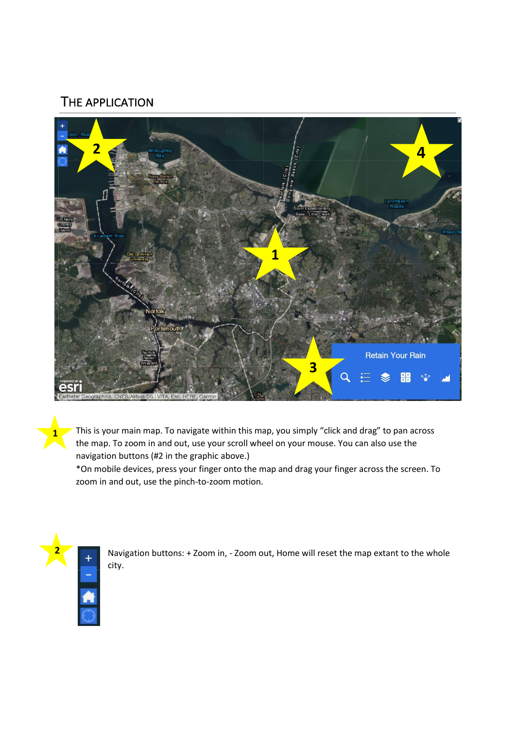## THE APPLICATION



This is your main map. To navigate within this map, you simply "click and drag" to pan across the map. To zoom in and out, use your scroll wheel on your mouse. You can also use the navigation buttons (#2 in the graphic above.)

\*On mobile devices, press your finger onto the map and drag your finger across the screen. To zoom in and out, use the pinch-to-zoom motion.



**1**

Navigation buttons: + Zoom in, - Zoom out, Home will reset the map extant to the whole city.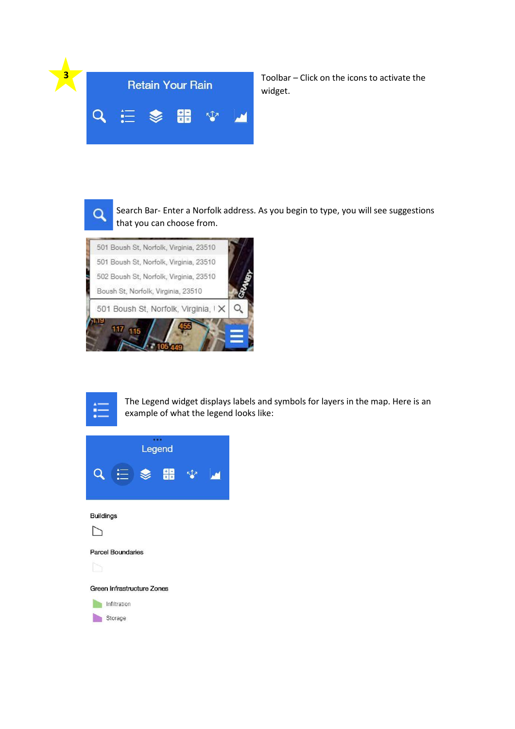

Toolbar – Click on the icons to activate the widget.



Search Bar- Enter a Norfolk address. As you begin to type, you will see suggestions that you can choose from.





The Legend widget displays labels and symbols for layers in the map. Here is an example of what the legend looks like:

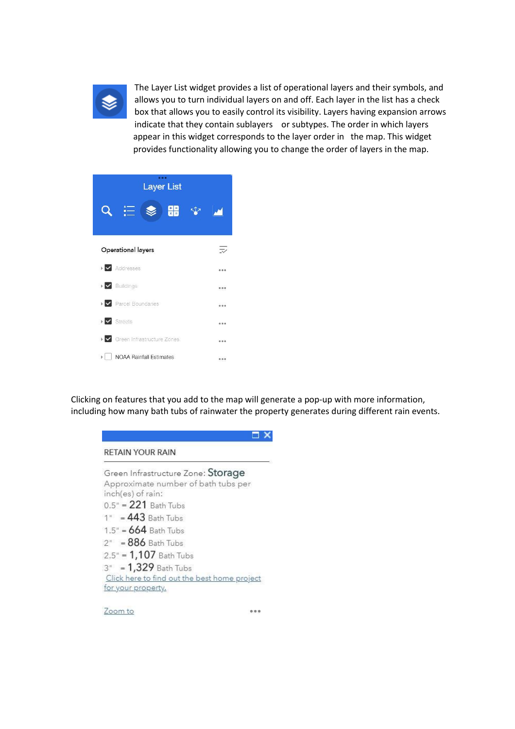

The Layer List widget provides a list of operational layers and their symbols, and allows you to turn individual layers on and off. Each layer in the list has a check box that allows you to easily control its visibility. Layers having expansion arrows indicate that they contain sublayers or subtypes. The order in which layers appear in this widget corresponds to the layer order in the map. This widget provides functionality allowing you to change the order of layers in the map.

| <b>Layer List</b>                                     |  |
|-------------------------------------------------------|--|
| 엶                                                     |  |
|                                                       |  |
| Operational layers                                    |  |
| $\blacktriangleright$ $\blacktriangleright$ Addresses |  |
| $\blacktriangleright \blacktriangleright$ Buildings   |  |
| $\triangleright$ Parcel Boundaries                    |  |
| $\triangleright \bigtriangledown$ Streets             |  |
| ▶ « Green Infrastructure Zones                        |  |
| <b>NOAA Rainfall Estimates</b>                        |  |

Clicking on features that you add to the map will generate a pop-up with more information, including how many bath tubs of rainwater the property generates during different rain events.

### $\Box$   $\times$ **RETAIN YOUR RAIN** Green Infrastructure Zone: Storage Approximate number of bath tubs per inch(es) of rain:  $0.5" = 221$  Bath Tubs  $1" = 443$  Bath Tubs  $1.5" = 664$  Bath Tubs  $2<sup>n</sup> = 886$  Bath Tubs  $2.5" = 1,107$  Bath Tubs 3" = 1,329 Bath Tubs Click here to find out the best home project for your property.

Zoom to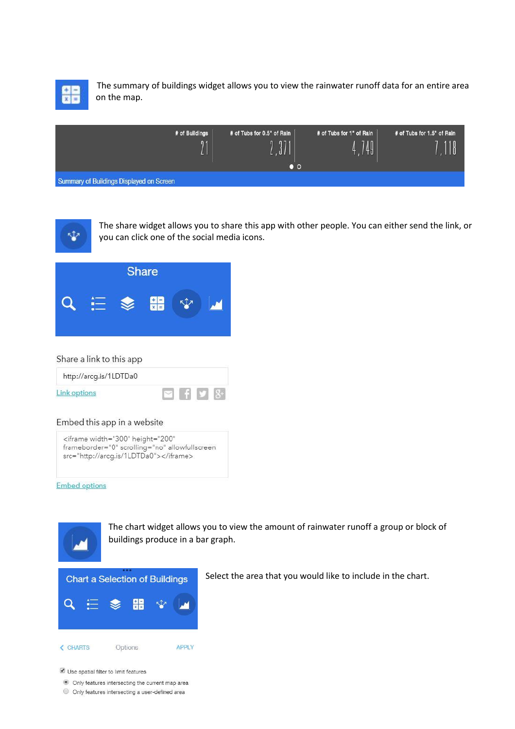

The summary of buildings widget allows you to view the rainwater runoff data for an entire area on the map.

| # of Buildings<br>$\n  1\n$              | # of Tubs for 0.5" of Rain<br>971<br>UI.<br>$\bullet$ o | # of Tubs for 1" of Rain<br>749 | # of Tubs for 1.5" of Rain<br>.118 |
|------------------------------------------|---------------------------------------------------------|---------------------------------|------------------------------------|
| Summary of Buildings Displayed on Screen |                                                         |                                 |                                    |



The share widget allows you to share this app with other people. You can either send the link, or you can click one of the social media icons.



#### Share a link to this app

| http://arcg.is/1LDTDa0 |  |  |
|------------------------|--|--|
| Link options           |  |  |

### Embed this app in a website

| <iframe <="" height="200" th="" width="300"></iframe> |
|-------------------------------------------------------|
| frameborder="0" scrolling="no" allowfullscreen        |
| src="http://arcq.is/1LDTDa0">                         |

**Embed options** 



The chart widget allows you to view the amount of rainwater runoff a group or block of buildings produce in a bar graph.



Select the area that you would like to include in the chart.

Use spatial filter to limit features

Only features intersecting the current map area

O Only features intersecting a user-defined area